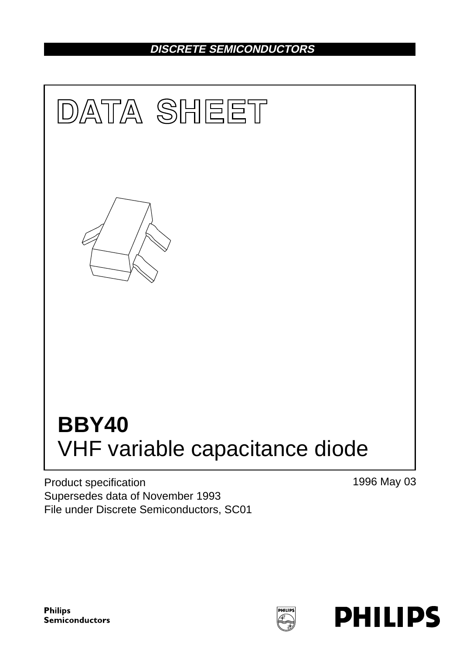# **DISCRETE SEMICONDUCTORS**



Product specification Supersedes data of November 1993 File under Discrete Semiconductors, SC01 1996 May 03

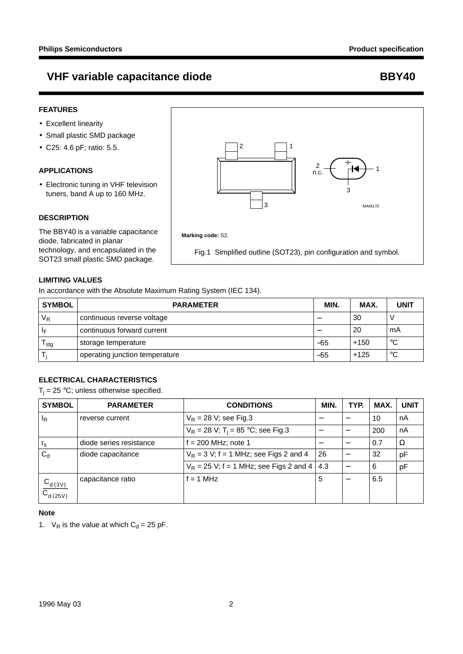## **VHF variable capacitance diode BBY40**

### **FEATURES**

- Excellent linearity
- Small plastic SMD package
- C25: 4.6 pF; ratio: 5.5.

### **APPLICATIONS**

• Electronic tuning in VHF television tuners, band A up to 160 MHz.

### **DESCRIPTION**

The BBY40 is a variable capacitance diode, fabricated in planar technology, and encapsulated in the



### **LIMITING VALUES**

In accordance with the Absolute Maximum Rating System (IEC 134).

| <b>SYMBOL</b>           | <b>PARAMETER</b>               | MIN.  | MAX.   | <b>UNIT</b> |
|-------------------------|--------------------------------|-------|--------|-------------|
| $V_R$                   | continuous reverse voltage     |       | 30     |             |
| $\mathsf{I}_\mathsf{F}$ | continuous forward current     | –     | 20     | mA          |
| l stg                   | storage temperature            |       | $+150$ | °C          |
|                         | operating junction temperature | $-55$ | $+125$ | $^{\circ}C$ |

### **ELECTRICAL CHARACTERISTICS**

 $T_i = 25$  °C; unless otherwise specified.

| <b>SYMBOL</b>                  | <b>PARAMETER</b>        | <b>CONDITIONS</b>                                | MIN. | TYP. | MAX. | <b>UNIT</b> |
|--------------------------------|-------------------------|--------------------------------------------------|------|------|------|-------------|
| ΙŖ                             | reverse current         | $V_R$ = 28 V; see Fig.3                          |      |      | 10   | nA          |
|                                |                         | $V_R = 28 V$ ; T <sub>i</sub> = 85 °C; see Fig.3 |      |      | 200  | nA          |
| $r_{\rm s}$                    | diode series resistance | $f = 200$ MHz; note 1                            |      |      | 0.7  | Ω           |
| $C_{\rm d}$                    | diode capacitance       | $V_R$ = 3 V; f = 1 MHz; see Figs 2 and 4         | 26   |      | 32   | pF          |
|                                |                         | $V_R$ = 25 V; f = 1 MHz; see Figs 2 and 4        | 4.3  |      | 6    | pF          |
| $\frac{C_{d(3V)}}{C_{d(25V)}}$ | capacitance ratio       | $f = 1$ MHz                                      | 5    |      | 6.5  |             |

### **Note**

1.  $V_R$  is the value at which  $C_d = 25$  pF.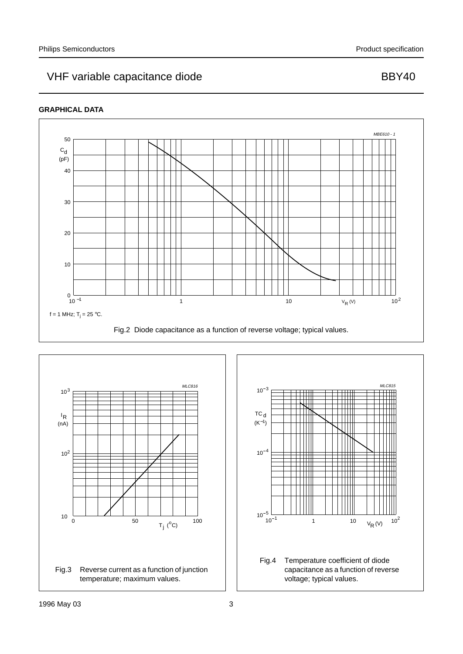# VHF variable capacitance diode BBY40

### **GRAPHICAL DATA**